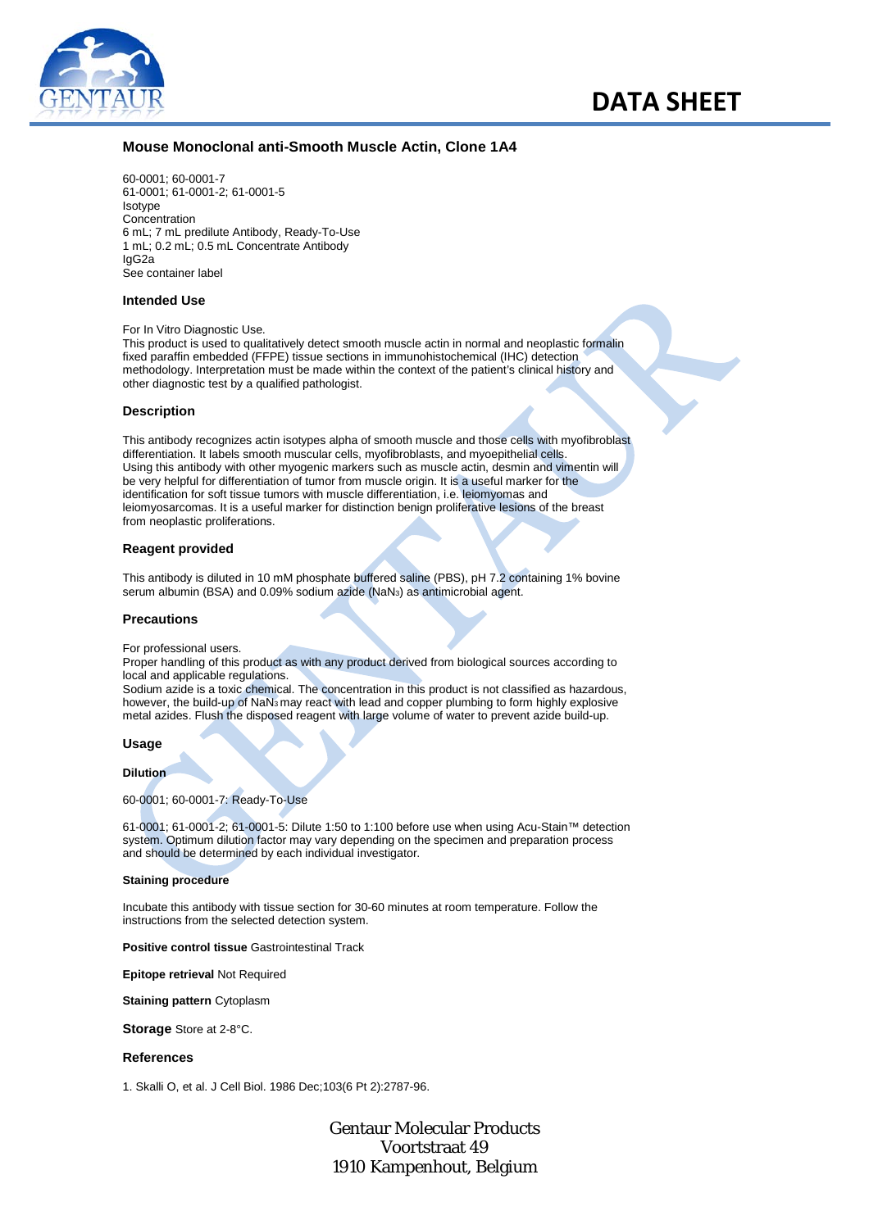

# **Mouse Monoclonal anti-Smooth Muscle Actin, Clone 1A4**

60-0001; 60-0001-7 61-0001; 61-0001-2; 61-0001-5 Isotype Concentration 6 mL; 7 mL predilute Antibody, Ready-To-Use 1 mL; 0.2 mL; 0.5 mL Concentrate Antibody IgG2a See container label

## **Intended Use**

For In Vitro Diagnostic Use.

This product is used to qualitatively detect smooth muscle actin in normal and neoplastic formalin fixed paraffin embedded (FFPE) tissue sections in immunohistochemical (IHC) detection methodology. Interpretation must be made within the context of the patient's clinical history and other diagnostic test by a qualified pathologist.

#### **Description**

This antibody recognizes actin isotypes alpha of smooth muscle and those cells with myofibroblast differentiation. It labels smooth muscular cells, myofibroblasts, and myoepithelial cells. Using this antibody with other myogenic markers such as muscle actin, desmin and vimentin will be very helpful for differentiation of tumor from muscle origin. It is a useful marker for the identification for soft tissue tumors with muscle differentiation, i.e. leiomyomas and leiomyosarcomas. It is a useful marker for distinction benign proliferative lesions of the breast from neoplastic proliferations.

#### **Reagent provided**

This antibody is diluted in 10 mM phosphate buffered saline (PBS), pH 7.2 containing 1% bovine serum albumin (BSA) and 0.09% sodium azide (NaN<sub>3</sub>) as antimicrobial agent.

### **Precautions**

For professional users.

Proper handling of this product as with any product derived from biological sources according to local and applicable regulations.

Sodium azide is a toxic chemical. The concentration in this product is not classified as hazardous, however, the build-up of NaN3 may react with lead and copper plumbing to form highly explosive metal azides. Flush the disposed reagent with large volume of water to prevent azide build-up.

## **Usage**

**Dilution**

60-0001; 60-0001-7: Ready-To-Use

61-0001; 61-0001-2; 61-0001-5: Dilute 1:50 to 1:100 before use when using Acu-Stain™ detection system. Optimum dilution factor may vary depending on the specimen and preparation process and should be determined by each individual investigator.

#### **Staining procedure**

Incubate this antibody with tissue section for 30-60 minutes at room temperature. Follow the instructions from the selected detection system.

**Positive control tissue** Gastrointestinal Track

**Epitope retrieval** Not Required

**Staining pattern** Cytoplasm

**Storage** Store at 2-8°C.

#### **References**

1. Skalli O, et al. J Cell Biol. 1986 Dec;103(6 Pt 2):2787-96.

Gentaur Molecular Products Voortstraat 49 1910 Kampenhout, Belgium